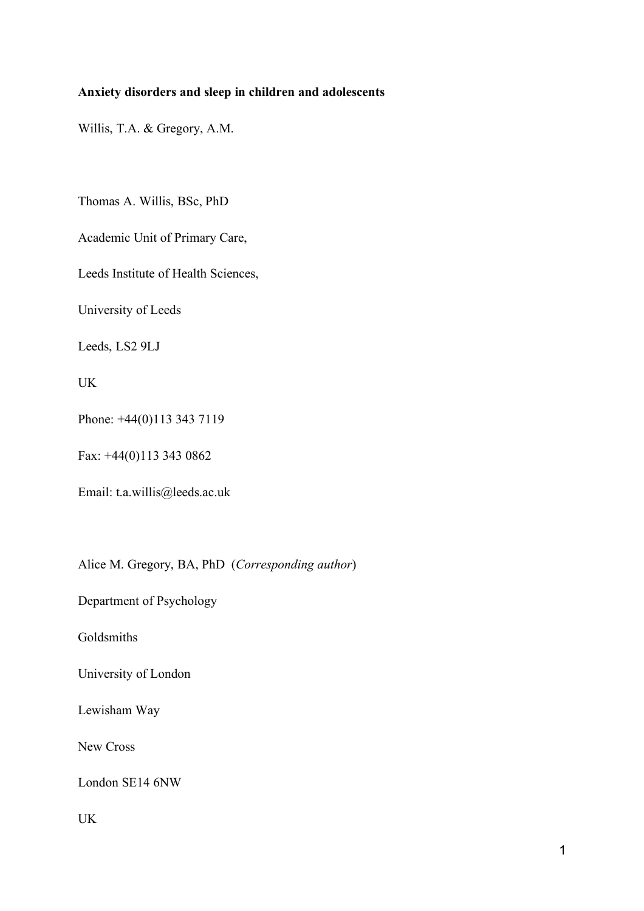## **Anxiety disorders and sleep in children and adolescents**

Willis, T.A. & Gregory, A.M.

Thomas A. Willis, BSc, PhD

Academic Unit of Primary Care,

Leeds Institute of Health Sciences,

University of Leeds

Leeds, LS2 9LJ

UK

Phone: +44(0)113 343 7119

Fax: +44(0)113 343 0862

Email: t.a.willis@leeds.ac.uk

Alice M. Gregory, BA, PhD (*Corresponding author*)

Department of Psychology

Goldsmiths

University of London

Lewisham Way

New Cross

London SE14 6NW

UK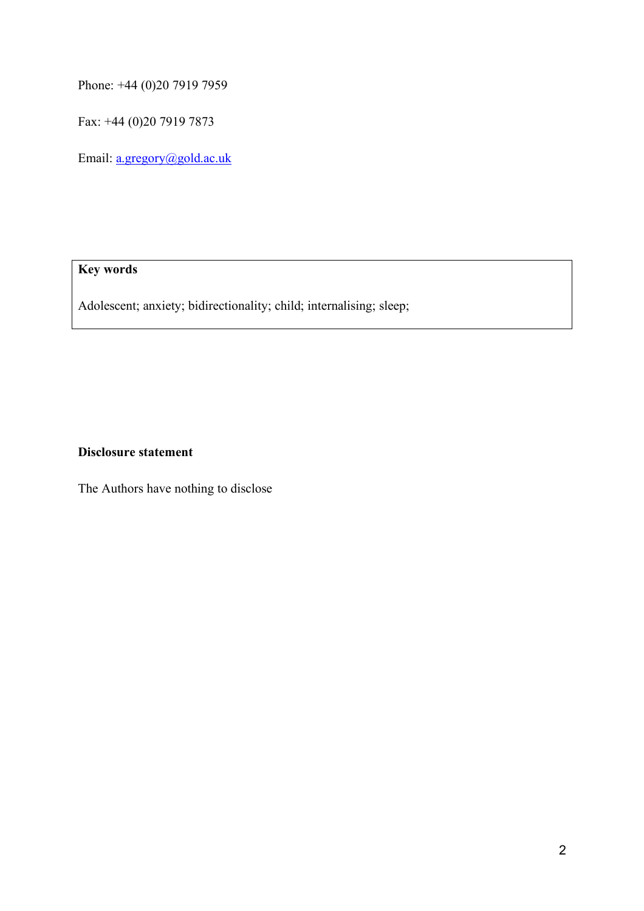Phone: +44 (0)20 7919 7959

Fax: +44 (0)20 7919 7873

Email: a.gregory@gold.ac.uk

# **Key words**

Adolescent; anxiety; bidirectionality; child; internalising; sleep;

## **Disclosure statement**

The Authors have nothing to disclose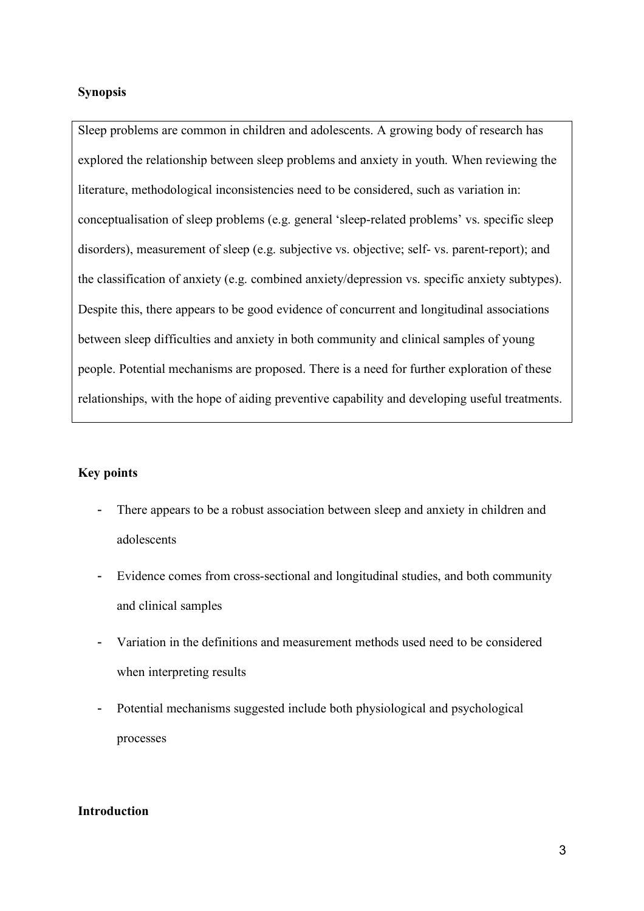## **Synopsis**

Sleep problems are common in children and adolescents. A growing body of research has explored the relationship between sleep problems and anxiety in youth. When reviewing the literature, methodological inconsistencies need to be considered, such as variation in: conceptualisation of sleep problems (e.g. general 'sleep-related problems' vs. specific sleep disorders), measurement of sleep (e.g. subjective vs. objective; self- vs. parent-report); and the classification of anxiety (e.g. combined anxiety/depression vs. specific anxiety subtypes). Despite this, there appears to be good evidence of concurrent and longitudinal associations between sleep difficulties and anxiety in both community and clinical samples of young people. Potential mechanisms are proposed. There is a need for further exploration of these relationships, with the hope of aiding preventive capability and developing useful treatments.

## **Key points**

- There appears to be a robust association between sleep and anxiety in children and adolescents
- Evidence comes from cross-sectional and longitudinal studies, and both community and clinical samples
- Variation in the definitions and measurement methods used need to be considered when interpreting results
- Potential mechanisms suggested include both physiological and psychological processes

## **Introduction**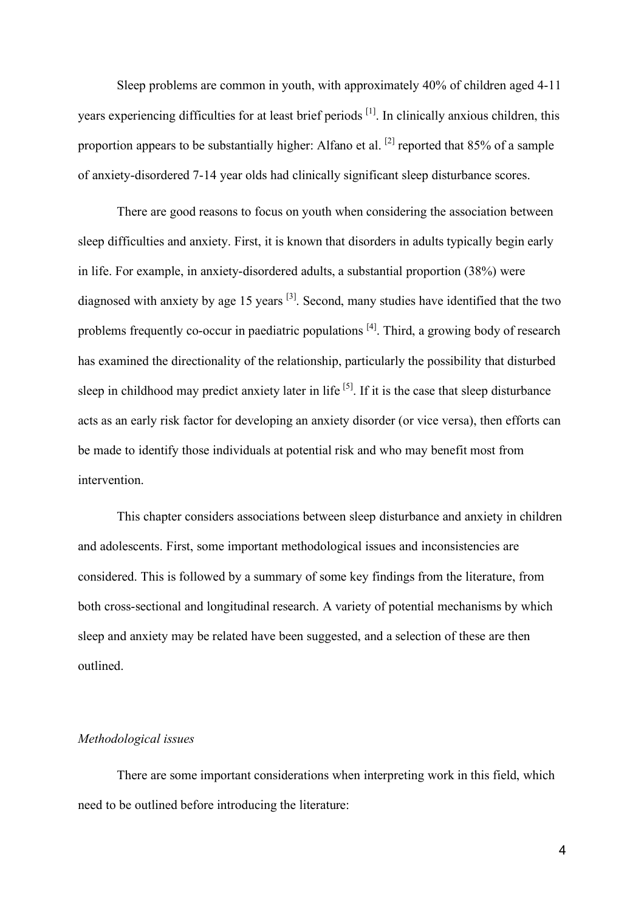Sleep problems are common in youth, with approximately 40% of children aged 4-11 years experiencing difficulties for at least brief periods <sup>[1]</sup>. In clinically anxious children, this proportion appears to be substantially higher: Alfano et al.  $^{[2]}$  reported that 85% of a sample of anxiety-disordered 7-14 year olds had clinically significant sleep disturbance scores.

There are good reasons to focus on youth when considering the association between sleep difficulties and anxiety. First, it is known that disorders in adults typically begin early in life. For example, in anxiety-disordered adults, a substantial proportion (38%) were diagnosed with anxiety by age 15 years <sup>[3]</sup>. Second, many studies have identified that the two problems frequently co-occur in paediatric populations <sup>[4]</sup>. Third, a growing body of research has examined the directionality of the relationship, particularly the possibility that disturbed sleep in childhood may predict anxiety later in life  $^{[5]}$ . If it is the case that sleep disturbance acts as an early risk factor for developing an anxiety disorder (or vice versa), then efforts can be made to identify those individuals at potential risk and who may benefit most from intervention.

This chapter considers associations between sleep disturbance and anxiety in children and adolescents. First, some important methodological issues and inconsistencies are considered. This is followed by a summary of some key findings from the literature, from both cross-sectional and longitudinal research. A variety of potential mechanisms by which sleep and anxiety may be related have been suggested, and a selection of these are then outlined.

#### *Methodological issues*

There are some important considerations when interpreting work in this field, which need to be outlined before introducing the literature: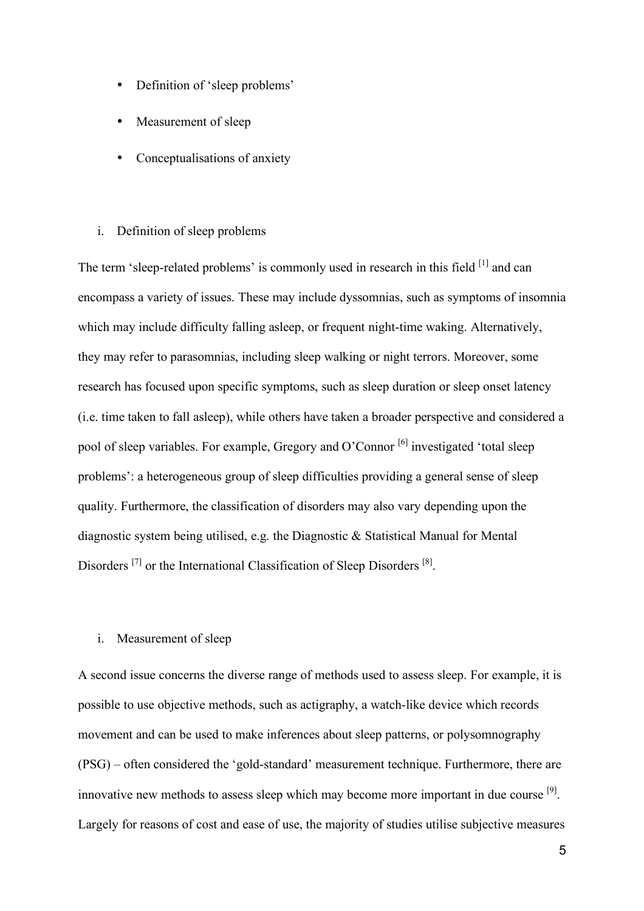- Definition of 'sleep problems'
- Measurement of sleep
- Conceptualisations of anxiety

### i. Definition of sleep problems

The term 'sleep-related problems' is commonly used in research in this field <sup>[1]</sup> and can encompass a variety of issues. These may include dyssomnias, such as symptoms of insomnia which may include difficulty falling asleep, or frequent night-time waking. Alternatively, they may refer to parasomnias, including sleep walking or night terrors. Moreover, some research has focused upon specific symptoms, such as sleep duration or sleep onset latency (i.e. time taken to fall asleep), while others have taken a broader perspective and considered a pool of sleep variables. For example, Gregory and O'Connor <sup>[6]</sup> investigated 'total sleep problems': a heterogeneous group of sleep difficulties providing a general sense of sleep quality. Furthermore, the classification of disorders may also vary depending upon the diagnostic system being utilised, e.g. the Diagnostic & Statistical Manual for Mental Disorders<sup>[7]</sup> or the International Classification of Sleep Disorders<sup>[8]</sup>.

## i. Measurement of sleep

A second issue concerns the diverse range of methods used to assess sleep. For example, it is possible to use objective methods, such as actigraphy, a watch-like device which records movement and can be used to make inferences about sleep patterns, or polysomnography (PSG) – often considered the 'gold-standard' measurement technique. Furthermore, there are innovative new methods to assess sleep which may become more important in due course  $[9]$ . Largely for reasons of cost and ease of use, the majority of studies utilise subjective measures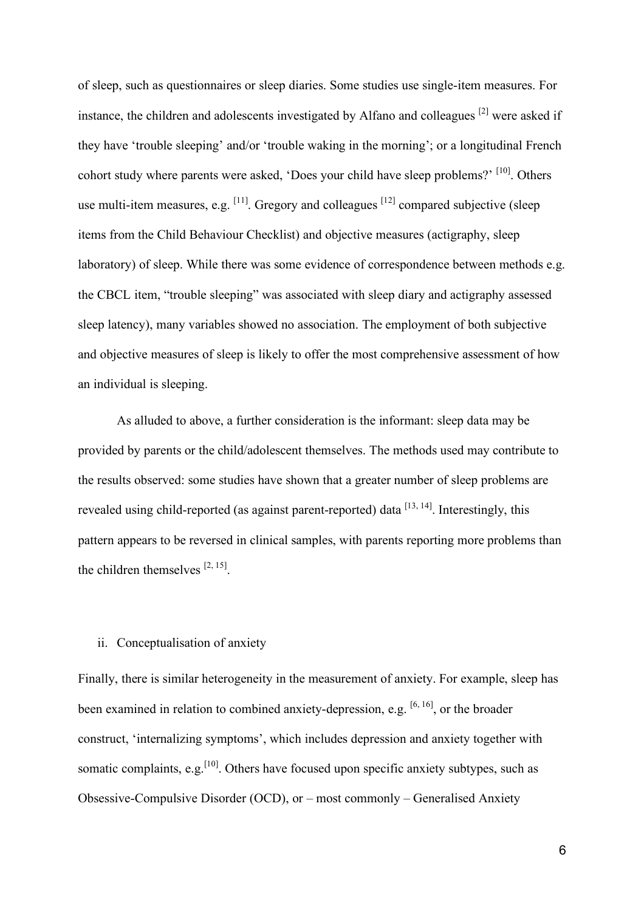of sleep, such as questionnaires or sleep diaries. Some studies use single-item measures. For instance, the children and adolescents investigated by Alfano and colleagues <sup>[2]</sup> were asked if they have 'trouble sleeping' and/or 'trouble waking in the morning'; or a longitudinal French cohort study where parents were asked, 'Does your child have sleep problems?' [10]. Others use multi-item measures, e.g.  $^{[11]}$ . Gregory and colleagues  $^{[12]}$  compared subjective (sleep items from the Child Behaviour Checklist) and objective measures (actigraphy, sleep laboratory) of sleep. While there was some evidence of correspondence between methods e.g. the CBCL item, "trouble sleeping" was associated with sleep diary and actigraphy assessed sleep latency), many variables showed no association. The employment of both subjective and objective measures of sleep is likely to offer the most comprehensive assessment of how an individual is sleeping.

As alluded to above, a further consideration is the informant: sleep data may be provided by parents or the child/adolescent themselves. The methods used may contribute to the results observed: some studies have shown that a greater number of sleep problems are revealed using child-reported (as against parent-reported) data <sup>[13, 14]</sup>. Interestingly, this pattern appears to be reversed in clinical samples, with parents reporting more problems than the children themselves  $[2, 15]$ .

#### ii. Conceptualisation of anxiety

Finally, there is similar heterogeneity in the measurement of anxiety. For example, sleep has been examined in relation to combined anxiety-depression, e.g.  $[6, 16]$ , or the broader construct, 'internalizing symptoms', which includes depression and anxiety together with somatic complaints, e.g.  $\left[10\right]$ . Others have focused upon specific anxiety subtypes, such as Obsessive-Compulsive Disorder (OCD), or – most commonly – Generalised Anxiety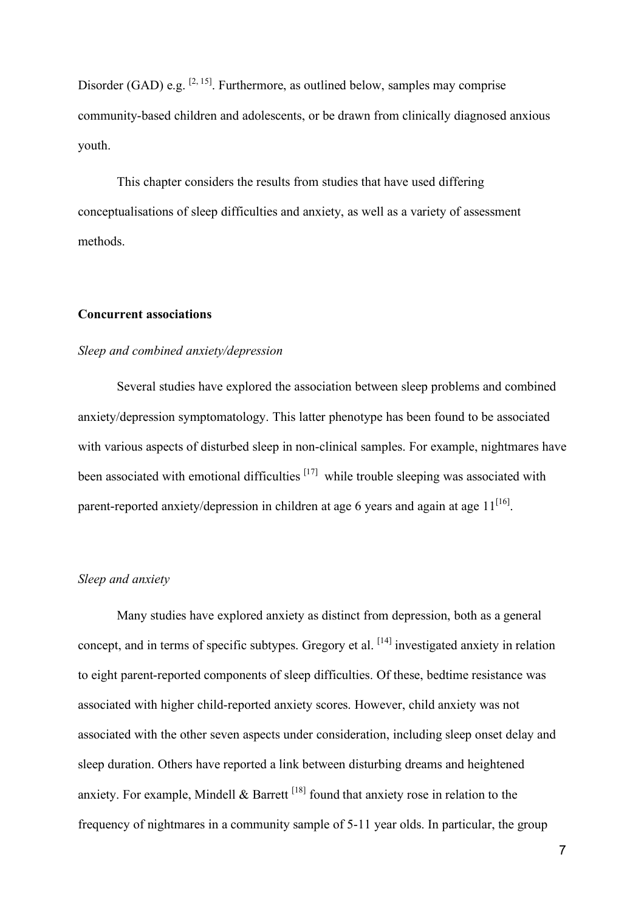Disorder (GAD) e.g.  $[2, 15]$ . Furthermore, as outlined below, samples may comprise community-based children and adolescents, or be drawn from clinically diagnosed anxious youth.

This chapter considers the results from studies that have used differing conceptualisations of sleep difficulties and anxiety, as well as a variety of assessment methods.

## **Concurrent associations**

### *Sleep and combined anxiety/depression*

Several studies have explored the association between sleep problems and combined anxiety/depression symptomatology. This latter phenotype has been found to be associated with various aspects of disturbed sleep in non-clinical samples. For example, nightmares have been associated with emotional difficulties  $[17]$  while trouble sleeping was associated with parent-reported anxiety/depression in children at age 6 years and again at age  $11^{[16]}$ .

## *Sleep and anxiety*

Many studies have explored anxiety as distinct from depression, both as a general concept, and in terms of specific subtypes. Gregory et al. [14] investigated anxiety in relation to eight parent-reported components of sleep difficulties. Of these, bedtime resistance was associated with higher child-reported anxiety scores. However, child anxiety was not associated with the other seven aspects under consideration, including sleep onset delay and sleep duration. Others have reported a link between disturbing dreams and heightened anxiety. For example, Mindell  $\&$  Barrett  $^{[18]}$  found that anxiety rose in relation to the frequency of nightmares in a community sample of 5-11 year olds. In particular, the group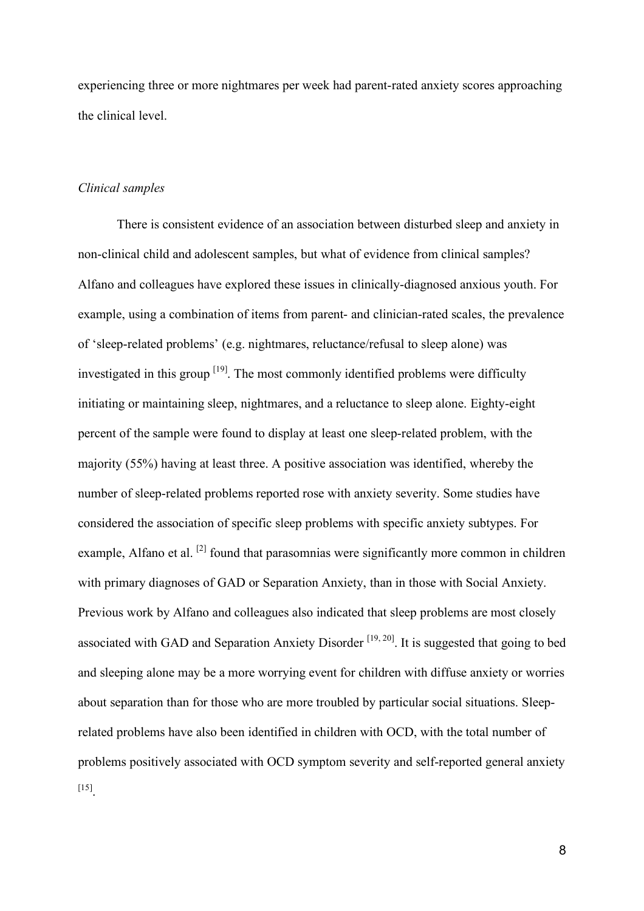experiencing three or more nightmares per week had parent-rated anxiety scores approaching the clinical level.

#### *Clinical samples*

There is consistent evidence of an association between disturbed sleep and anxiety in non-clinical child and adolescent samples, but what of evidence from clinical samples? Alfano and colleagues have explored these issues in clinically-diagnosed anxious youth. For example, using a combination of items from parent- and clinician-rated scales, the prevalence of 'sleep-related problems' (e.g. nightmares, reluctance/refusal to sleep alone) was investigated in this group  $[19]$ . The most commonly identified problems were difficulty initiating or maintaining sleep, nightmares, and a reluctance to sleep alone. Eighty-eight percent of the sample were found to display at least one sleep-related problem, with the majority (55%) having at least three. A positive association was identified, whereby the number of sleep-related problems reported rose with anxiety severity. Some studies have considered the association of specific sleep problems with specific anxiety subtypes. For example, Alfano et al. <sup>[2]</sup> found that parasomnias were significantly more common in children with primary diagnoses of GAD or Separation Anxiety, than in those with Social Anxiety. Previous work by Alfano and colleagues also indicated that sleep problems are most closely associated with GAD and Separation Anxiety Disorder  $[19, 20]$ . It is suggested that going to bed and sleeping alone may be a more worrying event for children with diffuse anxiety or worries about separation than for those who are more troubled by particular social situations. Sleeprelated problems have also been identified in children with OCD, with the total number of problems positively associated with OCD symptom severity and self-reported general anxiety [15] .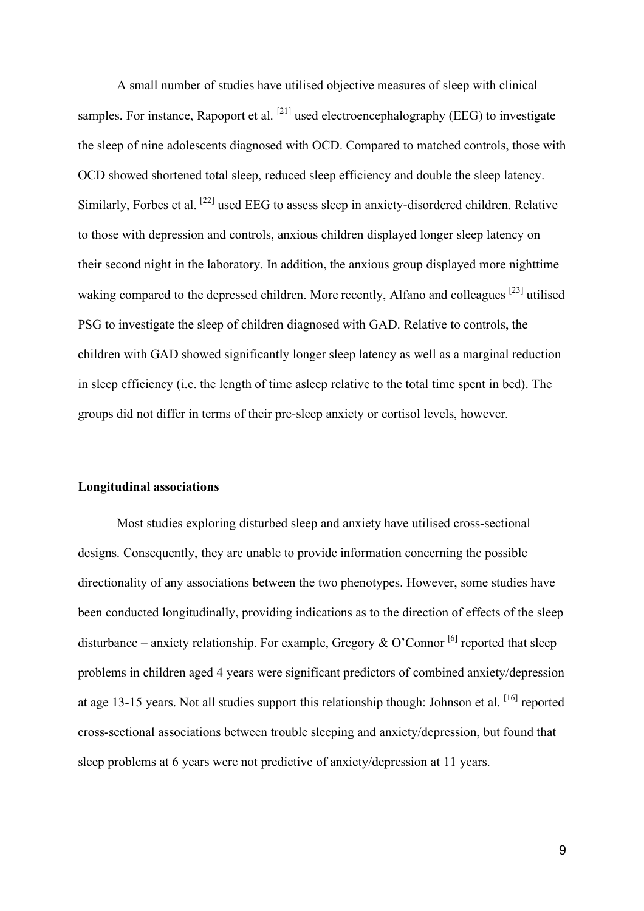A small number of studies have utilised objective measures of sleep with clinical samples. For instance, Rapoport et al.  $^{[21]}$  used electroencephalography (EEG) to investigate the sleep of nine adolescents diagnosed with OCD. Compared to matched controls, those with OCD showed shortened total sleep, reduced sleep efficiency and double the sleep latency. Similarly, Forbes et al. <sup>[22]</sup> used EEG to assess sleep in anxiety-disordered children. Relative to those with depression and controls, anxious children displayed longer sleep latency on their second night in the laboratory. In addition, the anxious group displayed more nighttime waking compared to the depressed children. More recently, Alfano and colleagues <sup>[23]</sup> utilised PSG to investigate the sleep of children diagnosed with GAD. Relative to controls, the children with GAD showed significantly longer sleep latency as well as a marginal reduction in sleep efficiency (i.e. the length of time asleep relative to the total time spent in bed). The groups did not differ in terms of their pre-sleep anxiety or cortisol levels, however.

### **Longitudinal associations**

Most studies exploring disturbed sleep and anxiety have utilised cross-sectional designs. Consequently, they are unable to provide information concerning the possible directionality of any associations between the two phenotypes. However, some studies have been conducted longitudinally, providing indications as to the direction of effects of the sleep disturbance – anxiety relationship. For example, Gregory & O'Connor <sup>[6]</sup> reported that sleep problems in children aged 4 years were significant predictors of combined anxiety/depression at age 13-15 years. Not all studies support this relationship though: Johnson et al. [16] reported cross-sectional associations between trouble sleeping and anxiety/depression, but found that sleep problems at 6 years were not predictive of anxiety/depression at 11 years.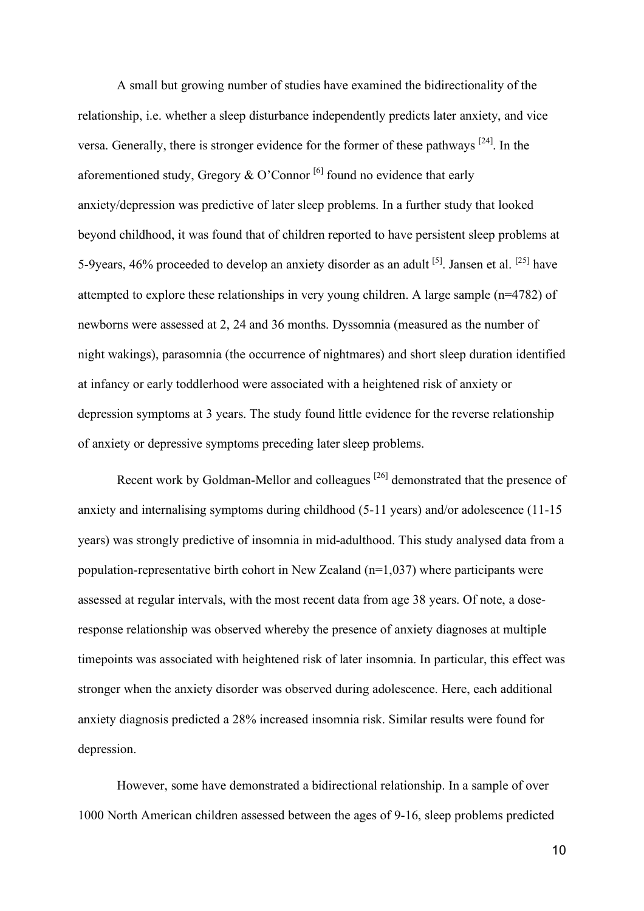A small but growing number of studies have examined the bidirectionality of the relationship, i.e. whether a sleep disturbance independently predicts later anxiety, and vice versa. Generally, there is stronger evidence for the former of these pathways  $[24]$ . In the aforementioned study, Gregory  $\&$  O'Connor<sup>[6]</sup> found no evidence that early anxiety/depression was predictive of later sleep problems. In a further study that looked beyond childhood, it was found that of children reported to have persistent sleep problems at 5-9 years, 46% proceeded to develop an anxiety disorder as an adult  $^{[5]}$ . Jansen et al.  $^{[25]}$  have attempted to explore these relationships in very young children. A large sample (n=4782) of newborns were assessed at 2, 24 and 36 months. Dyssomnia (measured as the number of night wakings), parasomnia (the occurrence of nightmares) and short sleep duration identified at infancy or early toddlerhood were associated with a heightened risk of anxiety or depression symptoms at 3 years. The study found little evidence for the reverse relationship of anxiety or depressive symptoms preceding later sleep problems.

Recent work by Goldman-Mellor and colleagues  $^{[26]}$  demonstrated that the presence of anxiety and internalising symptoms during childhood (5-11 years) and/or adolescence (11-15 years) was strongly predictive of insomnia in mid-adulthood. This study analysed data from a population-representative birth cohort in New Zealand (n=1,037) where participants were assessed at regular intervals, with the most recent data from age 38 years. Of note, a doseresponse relationship was observed whereby the presence of anxiety diagnoses at multiple timepoints was associated with heightened risk of later insomnia. In particular, this effect was stronger when the anxiety disorder was observed during adolescence. Here, each additional anxiety diagnosis predicted a 28% increased insomnia risk. Similar results were found for depression.

However, some have demonstrated a bidirectional relationship. In a sample of over 1000 North American children assessed between the ages of 9-16, sleep problems predicted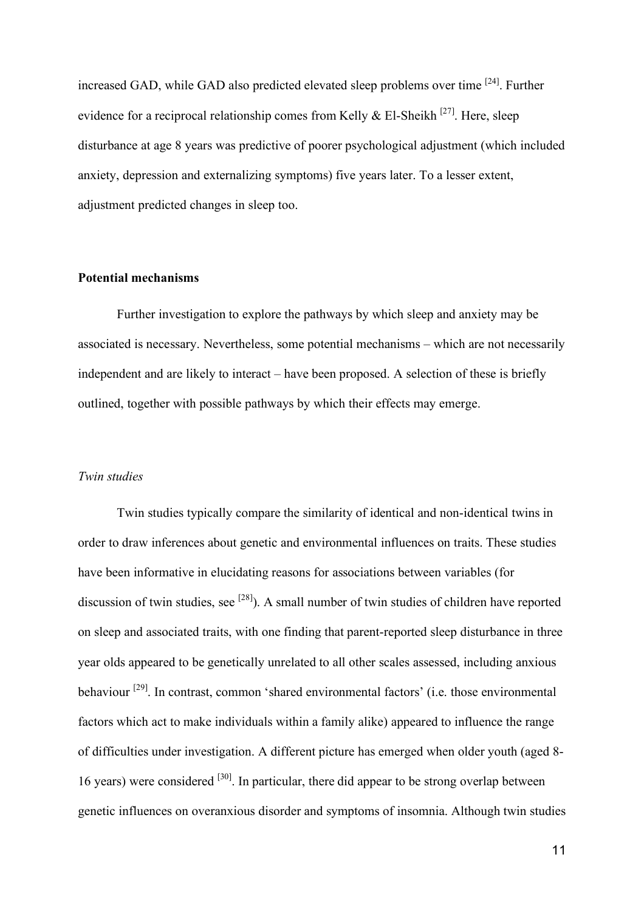increased GAD, while GAD also predicted elevated sleep problems over time <sup>[24]</sup>. Further evidence for a reciprocal relationship comes from Kelly  $\&$  El-Sheikh<sup>[27]</sup>. Here, sleep disturbance at age 8 years was predictive of poorer psychological adjustment (which included anxiety, depression and externalizing symptoms) five years later. To a lesser extent, adjustment predicted changes in sleep too.

## **Potential mechanisms**

Further investigation to explore the pathways by which sleep and anxiety may be associated is necessary. Nevertheless, some potential mechanisms – which are not necessarily independent and are likely to interact – have been proposed. A selection of these is briefly outlined, together with possible pathways by which their effects may emerge.

#### *Twin studies*

Twin studies typically compare the similarity of identical and non-identical twins in order to draw inferences about genetic and environmental influences on traits. These studies have been informative in elucidating reasons for associations between variables (for discussion of twin studies, see  $^{[28]}$ ). A small number of twin studies of children have reported on sleep and associated traits, with one finding that parent-reported sleep disturbance in three year olds appeared to be genetically unrelated to all other scales assessed, including anxious behaviour <sup>[29]</sup>. In contrast, common 'shared environmental factors' (i.e. those environmental factors which act to make individuals within a family alike) appeared to influence the range of difficulties under investigation. A different picture has emerged when older youth (aged 8- 16 years) were considered  $[30]$ . In particular, there did appear to be strong overlap between genetic influences on overanxious disorder and symptoms of insomnia. Although twin studies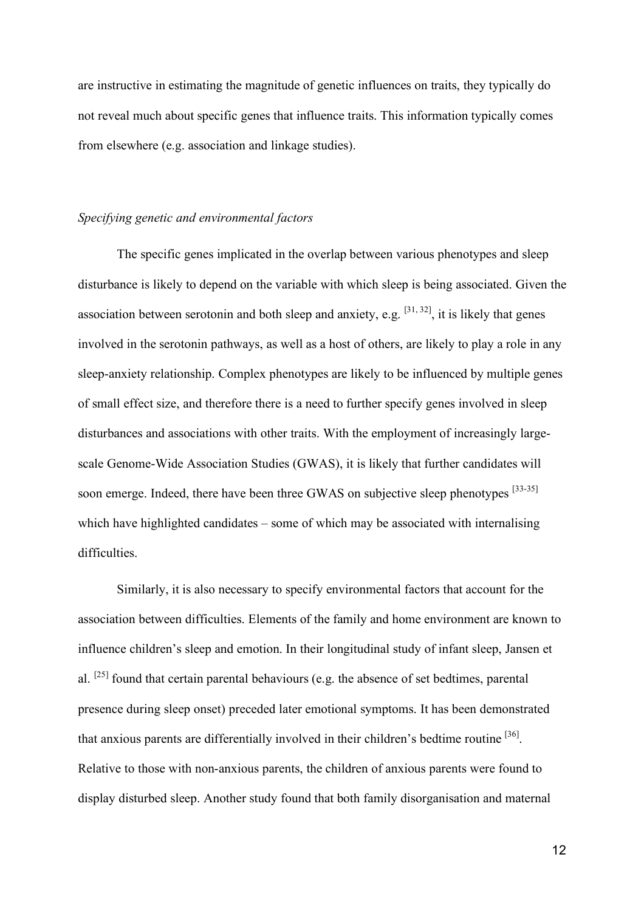are instructive in estimating the magnitude of genetic influences on traits, they typically do not reveal much about specific genes that influence traits. This information typically comes from elsewhere (e.g. association and linkage studies).

#### *Specifying genetic and environmental factors*

The specific genes implicated in the overlap between various phenotypes and sleep disturbance is likely to depend on the variable with which sleep is being associated. Given the association between serotonin and both sleep and anxiety, e.g.  $[31, 32]$ , it is likely that genes involved in the serotonin pathways, as well as a host of others, are likely to play a role in any sleep-anxiety relationship. Complex phenotypes are likely to be influenced by multiple genes of small effect size, and therefore there is a need to further specify genes involved in sleep disturbances and associations with other traits. With the employment of increasingly largescale Genome-Wide Association Studies (GWAS), it is likely that further candidates will soon emerge. Indeed, there have been three GWAS on subjective sleep phenotypes [33-35] which have highlighted candidates – some of which may be associated with internalising difficulties.

Similarly, it is also necessary to specify environmental factors that account for the association between difficulties. Elements of the family and home environment are known to influence children's sleep and emotion. In their longitudinal study of infant sleep, Jansen et al.  $[25]$  found that certain parental behaviours (e.g. the absence of set bedtimes, parental presence during sleep onset) preceded later emotional symptoms. It has been demonstrated that anxious parents are differentially involved in their children's bedtime routine [36]. Relative to those with non-anxious parents, the children of anxious parents were found to display disturbed sleep. Another study found that both family disorganisation and maternal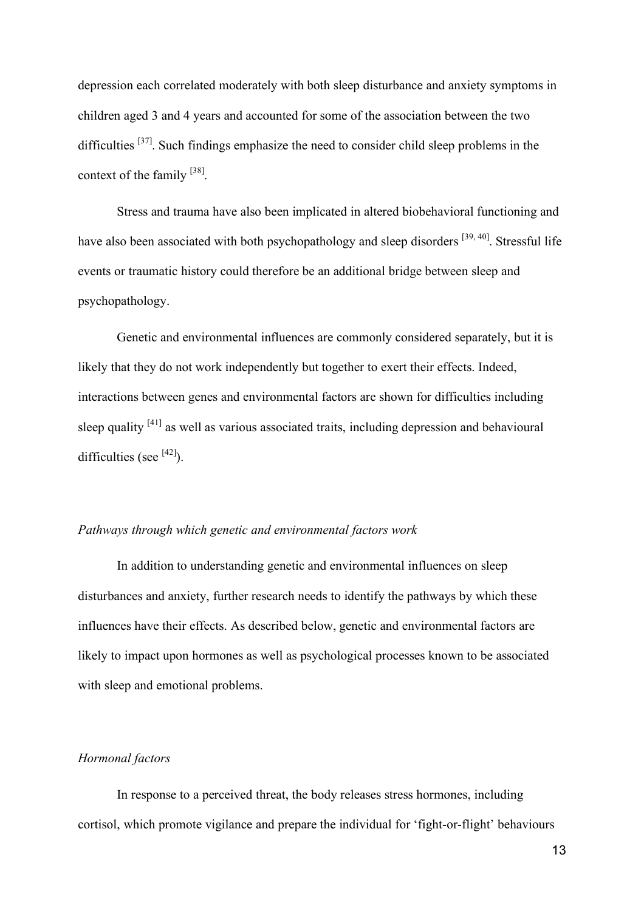depression each correlated moderately with both sleep disturbance and anxiety symptoms in children aged 3 and 4 years and accounted for some of the association between the two difficulties  $[37]$ . Such findings emphasize the need to consider child sleep problems in the context of the family [38].

Stress and trauma have also been implicated in altered biobehavioral functioning and have also been associated with both psychopathology and sleep disorders <sup>[39, 40]</sup>. Stressful life events or traumatic history could therefore be an additional bridge between sleep and psychopathology.

Genetic and environmental influences are commonly considered separately, but it is likely that they do not work independently but together to exert their effects. Indeed, interactions between genes and environmental factors are shown for difficulties including sleep quality <sup>[41]</sup> as well as various associated traits, including depression and behavioural difficulties (see  $[42]$ ).

## *Pathways through which genetic and environmental factors work*

In addition to understanding genetic and environmental influences on sleep disturbances and anxiety, further research needs to identify the pathways by which these influences have their effects. As described below, genetic and environmental factors are likely to impact upon hormones as well as psychological processes known to be associated with sleep and emotional problems.

## *Hormonal factors*

In response to a perceived threat, the body releases stress hormones, including cortisol, which promote vigilance and prepare the individual for 'fight-or-flight' behaviours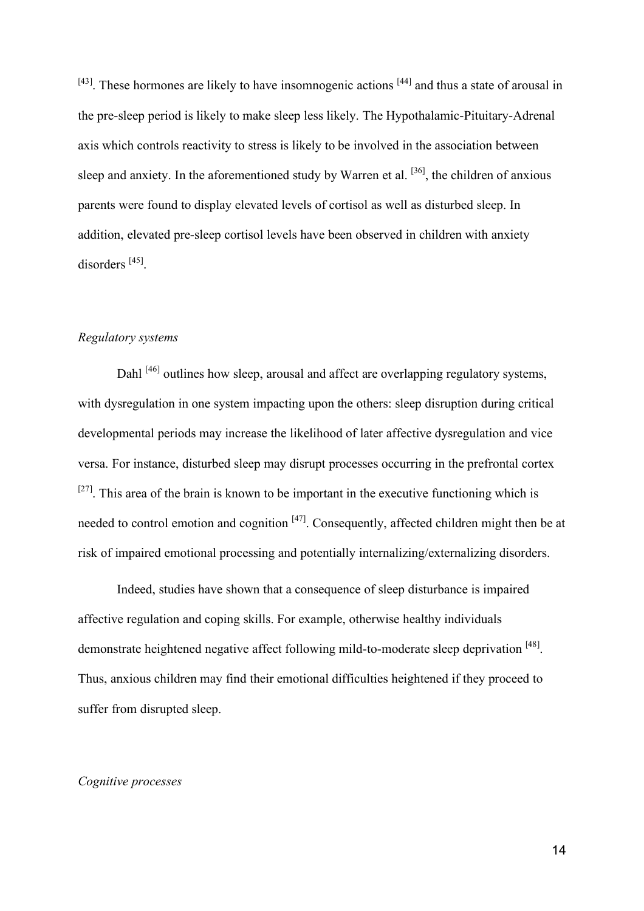$[43]$ . These hormones are likely to have insomnogenic actions  $[44]$  and thus a state of arousal in the pre-sleep period is likely to make sleep less likely. The Hypothalamic-Pituitary-Adrenal axis which controls reactivity to stress is likely to be involved in the association between sleep and anxiety. In the aforementioned study by Warren et al.  $[36]$ , the children of anxious parents were found to display elevated levels of cortisol as well as disturbed sleep. In addition, elevated pre-sleep cortisol levels have been observed in children with anxiety disorders<sup>[45]</sup>.

## *Regulatory systems*

Dahl<sup>[46]</sup> outlines how sleep, arousal and affect are overlapping regulatory systems, with dysregulation in one system impacting upon the others: sleep disruption during critical developmental periods may increase the likelihood of later affective dysregulation and vice versa. For instance, disturbed sleep may disrupt processes occurring in the prefrontal cortex  $[27]$ . This area of the brain is known to be important in the executive functioning which is needed to control emotion and cognition [47]. Consequently, affected children might then be at risk of impaired emotional processing and potentially internalizing/externalizing disorders.

Indeed, studies have shown that a consequence of sleep disturbance is impaired affective regulation and coping skills. For example, otherwise healthy individuals demonstrate heightened negative affect following mild-to-moderate sleep deprivation [48]. Thus, anxious children may find their emotional difficulties heightened if they proceed to suffer from disrupted sleep.

## *Cognitive processes*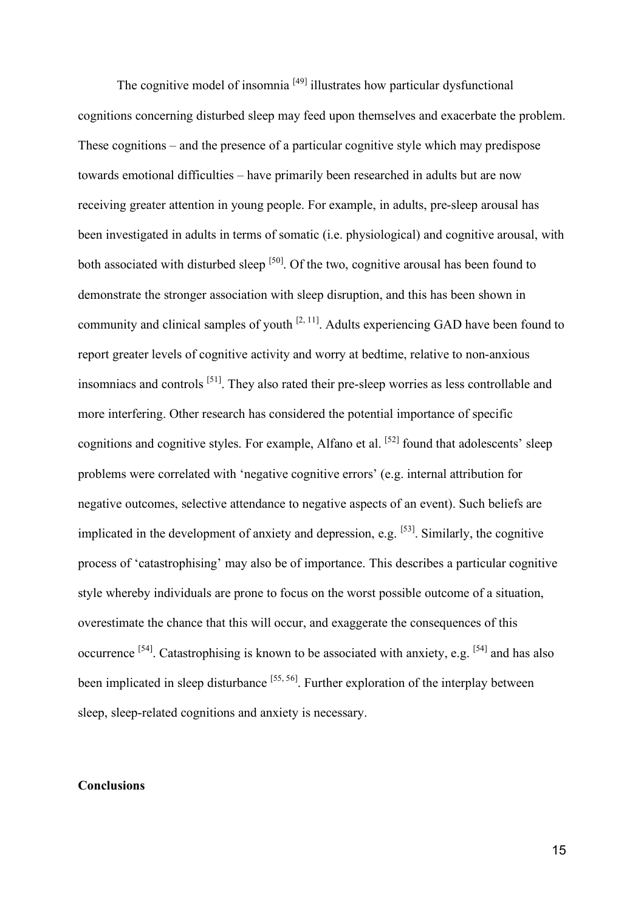The cognitive model of insomnia  $[49]$  illustrates how particular dysfunctional cognitions concerning disturbed sleep may feed upon themselves and exacerbate the problem. These cognitions – and the presence of a particular cognitive style which may predispose towards emotional difficulties – have primarily been researched in adults but are now receiving greater attention in young people. For example, in adults, pre-sleep arousal has been investigated in adults in terms of somatic (i.e. physiological) and cognitive arousal, with both associated with disturbed sleep  $\left[50\right]$ . Of the two, cognitive arousal has been found to demonstrate the stronger association with sleep disruption, and this has been shown in community and clinical samples of youth  $[2, 11]$ . Adults experiencing GAD have been found to report greater levels of cognitive activity and worry at bedtime, relative to non-anxious insomniacs and controls <sup>[51]</sup>. They also rated their pre-sleep worries as less controllable and more interfering. Other research has considered the potential importance of specific cognitions and cognitive styles. For example, Alfano et al.  $[52]$  found that adolescents' sleep problems were correlated with 'negative cognitive errors' (e.g. internal attribution for negative outcomes, selective attendance to negative aspects of an event). Such beliefs are implicated in the development of anxiety and depression, e.g.  $[53]$ . Similarly, the cognitive process of 'catastrophising' may also be of importance. This describes a particular cognitive style whereby individuals are prone to focus on the worst possible outcome of a situation, overestimate the chance that this will occur, and exaggerate the consequences of this occurrence  $[54]$ . Catastrophising is known to be associated with anxiety, e.g.  $[54]$  and has also been implicated in sleep disturbance <sup>[55, 56]</sup>. Further exploration of the interplay between sleep, sleep-related cognitions and anxiety is necessary.

#### **Conclusions**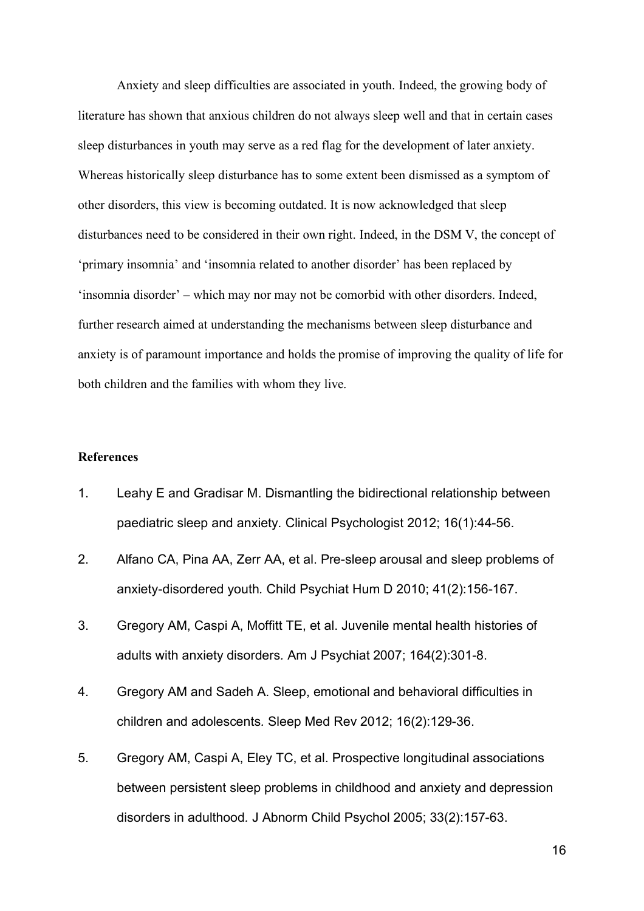Anxiety and sleep difficulties are associated in youth. Indeed, the growing body of literature has shown that anxious children do not always sleep well and that in certain cases sleep disturbances in youth may serve as a red flag for the development of later anxiety. Whereas historically sleep disturbance has to some extent been dismissed as a symptom of other disorders, this view is becoming outdated. It is now acknowledged that sleep disturbances need to be considered in their own right. Indeed, in the DSM V, the concept of 'primary insomnia' and 'insomnia related to another disorder' has been replaced by 'insomnia disorder' – which may nor may not be comorbid with other disorders. Indeed, further research aimed at understanding the mechanisms between sleep disturbance and anxiety is of paramount importance and holds the promise of improving the quality of life for both children and the families with whom they live.

## **References**

- 1. Leahy E and Gradisar M. Dismantling the bidirectional relationship between paediatric sleep and anxiety*.* Clinical Psychologist 2012; 16(1):44-56.
- 2. Alfano CA, Pina AA, Zerr AA, et al. Pre-sleep arousal and sleep problems of anxiety-disordered youth*.* Child Psychiat Hum D 2010; 41(2):156-167.
- 3. Gregory AM, Caspi A, Moffitt TE, et al. Juvenile mental health histories of adults with anxiety disorders*.* Am J Psychiat 2007; 164(2):301-8.
- 4. Gregory AM and Sadeh A. Sleep, emotional and behavioral difficulties in children and adolescents*.* Sleep Med Rev 2012; 16(2):129-36.
- 5. Gregory AM, Caspi A, Eley TC, et al. Prospective longitudinal associations between persistent sleep problems in childhood and anxiety and depression disorders in adulthood*.* J Abnorm Child Psychol 2005; 33(2):157-63.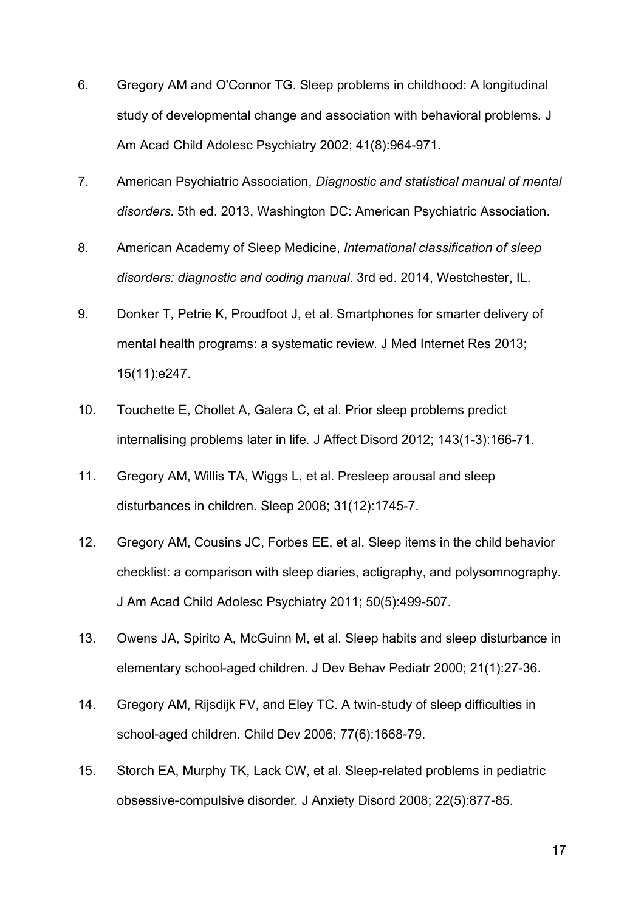- 6. Gregory AM and O'Connor TG. Sleep problems in childhood: A longitudinal study of developmental change and association with behavioral problems*.* J Am Acad Child Adolesc Psychiatry 2002; 41(8):964-971.
- 7. American Psychiatric Association, *Diagnostic and statistical manual of mental disorders*. 5th ed. 2013, Washington DC: American Psychiatric Association.
- 8. American Academy of Sleep Medicine, *International classification of sleep disorders: diagnostic and coding manual*. 3rd ed. 2014, Westchester, IL.
- 9. Donker T, Petrie K, Proudfoot J, et al. Smartphones for smarter delivery of mental health programs: a systematic review*.* J Med Internet Res 2013; 15(11):e247.
- 10. Touchette E, Chollet A, Galera C, et al. Prior sleep problems predict internalising problems later in life*.* J Affect Disord 2012; 143(1-3):166-71.
- 11. Gregory AM, Willis TA, Wiggs L, et al. Presleep arousal and sleep disturbances in children*.* Sleep 2008; 31(12):1745-7.
- 12. Gregory AM, Cousins JC, Forbes EE, et al. Sleep items in the child behavior checklist: a comparison with sleep diaries, actigraphy, and polysomnography*.* J Am Acad Child Adolesc Psychiatry 2011; 50(5):499-507.
- 13. Owens JA, Spirito A, McGuinn M, et al. Sleep habits and sleep disturbance in elementary school-aged children*.* J Dev Behav Pediatr 2000; 21(1):27-36.
- 14. Gregory AM, Rijsdijk FV, and Eley TC. A twin-study of sleep difficulties in school-aged children*.* Child Dev 2006; 77(6):1668-79.
- 15. Storch EA, Murphy TK, Lack CW, et al. Sleep-related problems in pediatric obsessive-compulsive disorder*.* J Anxiety Disord 2008; 22(5):877-85.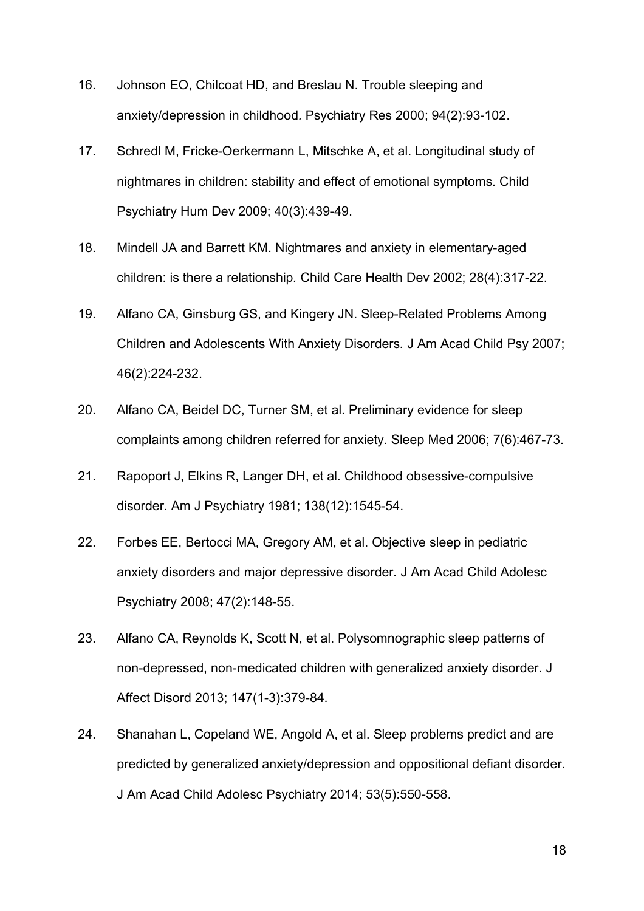- 16. Johnson EO, Chilcoat HD, and Breslau N. Trouble sleeping and anxiety/depression in childhood*.* Psychiatry Res 2000; 94(2):93-102.
- 17. Schredl M, Fricke-Oerkermann L, Mitschke A, et al. Longitudinal study of nightmares in children: stability and effect of emotional symptoms*.* Child Psychiatry Hum Dev 2009; 40(3):439-49.
- 18. Mindell JA and Barrett KM. Nightmares and anxiety in elementary-aged children: is there a relationship*.* Child Care Health Dev 2002; 28(4):317-22.
- 19. Alfano CA, Ginsburg GS, and Kingery JN. Sleep-Related Problems Among Children and Adolescents With Anxiety Disorders*.* J Am Acad Child Psy 2007; 46(2):224-232.
- 20. Alfano CA, Beidel DC, Turner SM, et al. Preliminary evidence for sleep complaints among children referred for anxiety*.* Sleep Med 2006; 7(6):467-73.
- 21. Rapoport J, Elkins R, Langer DH, et al. Childhood obsessive-compulsive disorder*.* Am J Psychiatry 1981; 138(12):1545-54.
- 22. Forbes EE, Bertocci MA, Gregory AM, et al. Objective sleep in pediatric anxiety disorders and major depressive disorder*.* J Am Acad Child Adolesc Psychiatry 2008; 47(2):148-55.
- 23. Alfano CA, Reynolds K, Scott N, et al. Polysomnographic sleep patterns of non-depressed, non-medicated children with generalized anxiety disorder*.* J Affect Disord 2013; 147(1-3):379-84.
- 24. Shanahan L, Copeland WE, Angold A, et al. Sleep problems predict and are predicted by generalized anxiety/depression and oppositional defiant disorder*.* J Am Acad Child Adolesc Psychiatry 2014; 53(5):550-558.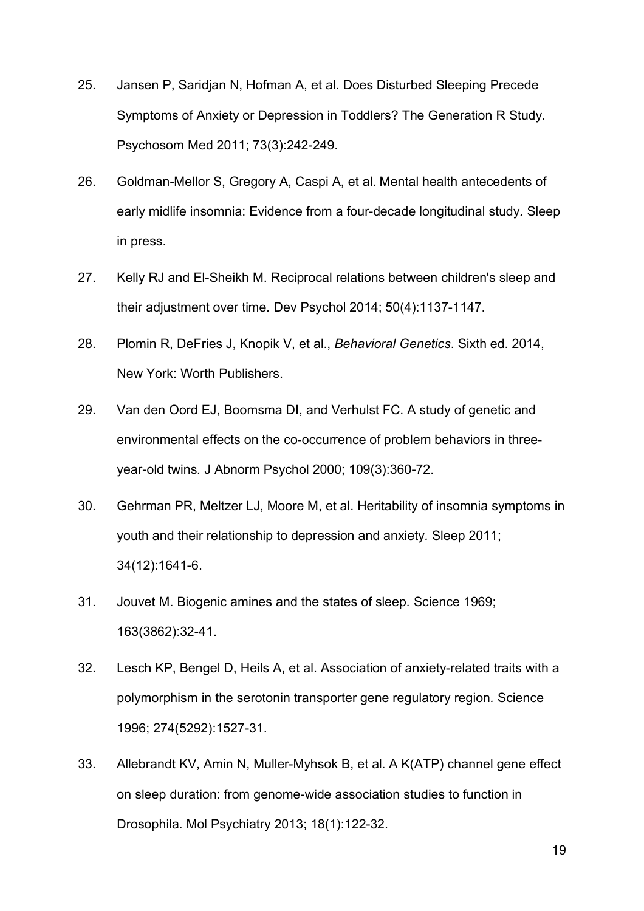- 25. Jansen P, Saridjan N, Hofman A, et al. Does Disturbed Sleeping Precede Symptoms of Anxiety or Depression in Toddlers? The Generation R Study*.* Psychosom Med 2011; 73(3):242-249.
- 26. Goldman-Mellor S, Gregory A, Caspi A, et al. Mental health antecedents of early midlife insomnia: Evidence from a four-decade longitudinal study*.* Sleep in press.
- 27. Kelly RJ and El-Sheikh M. Reciprocal relations between children's sleep and their adjustment over time*.* Dev Psychol 2014; 50(4):1137-1147.
- 28. Plomin R, DeFries J, Knopik V, et al., *Behavioral Genetics*. Sixth ed. 2014, New York: Worth Publishers.
- 29. Van den Oord EJ, Boomsma DI, and Verhulst FC. A study of genetic and environmental effects on the co-occurrence of problem behaviors in threeyear-old twins*.* J Abnorm Psychol 2000; 109(3):360-72.
- 30. Gehrman PR, Meltzer LJ, Moore M, et al. Heritability of insomnia symptoms in youth and their relationship to depression and anxiety*.* Sleep 2011; 34(12):1641-6.
- 31. Jouvet M. Biogenic amines and the states of sleep*.* Science 1969; 163(3862):32-41.
- 32. Lesch KP, Bengel D, Heils A, et al. Association of anxiety-related traits with a polymorphism in the serotonin transporter gene regulatory region*.* Science 1996; 274(5292):1527-31.
- 33. Allebrandt KV, Amin N, Muller-Myhsok B, et al. A K(ATP) channel gene effect on sleep duration: from genome-wide association studies to function in Drosophila*.* Mol Psychiatry 2013; 18(1):122-32.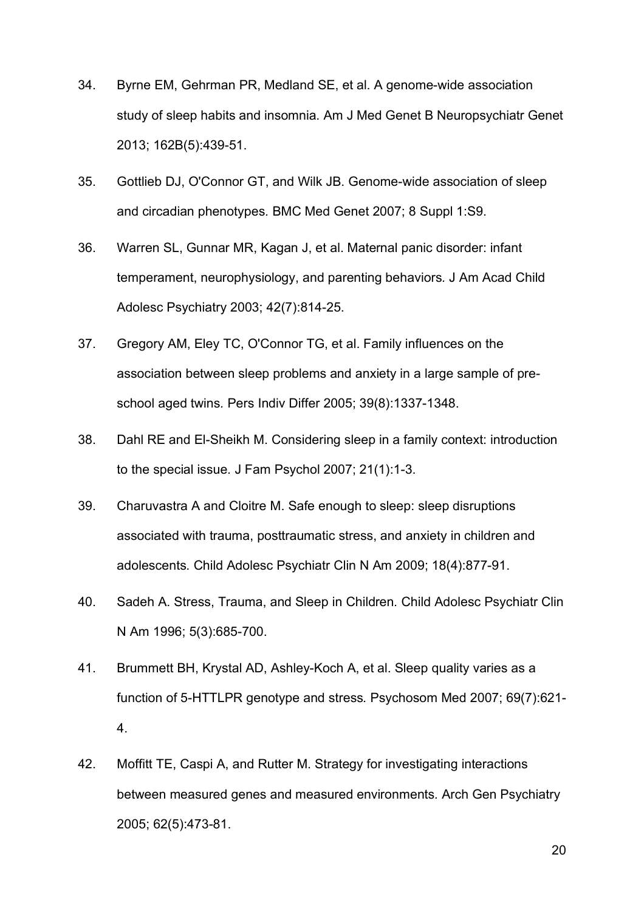- 34. Byrne EM, Gehrman PR, Medland SE, et al. A genome-wide association study of sleep habits and insomnia*.* Am J Med Genet B Neuropsychiatr Genet 2013; 162B(5):439-51.
- 35. Gottlieb DJ, O'Connor GT, and Wilk JB. Genome-wide association of sleep and circadian phenotypes*.* BMC Med Genet 2007; 8 Suppl 1:S9.
- 36. Warren SL, Gunnar MR, Kagan J, et al. Maternal panic disorder: infant temperament, neurophysiology, and parenting behaviors*.* J Am Acad Child Adolesc Psychiatry 2003; 42(7):814-25.
- 37. Gregory AM, Eley TC, O'Connor TG, et al. Family influences on the association between sleep problems and anxiety in a large sample of preschool aged twins*.* Pers Indiv Differ 2005; 39(8):1337-1348.
- 38. Dahl RE and El-Sheikh M. Considering sleep in a family context: introduction to the special issue*.* J Fam Psychol 2007; 21(1):1-3.
- 39. Charuvastra A and Cloitre M. Safe enough to sleep: sleep disruptions associated with trauma, posttraumatic stress, and anxiety in children and adolescents*.* Child Adolesc Psychiatr Clin N Am 2009; 18(4):877-91.
- 40. Sadeh A. Stress, Trauma, and Sleep in Children*.* Child Adolesc Psychiatr Clin N Am 1996; 5(3):685-700.
- 41. Brummett BH, Krystal AD, Ashley-Koch A, et al. Sleep quality varies as a function of 5-HTTLPR genotype and stress*.* Psychosom Med 2007; 69(7):621- 4.
- 42. Moffitt TE, Caspi A, and Rutter M. Strategy for investigating interactions between measured genes and measured environments*.* Arch Gen Psychiatry 2005; 62(5):473-81.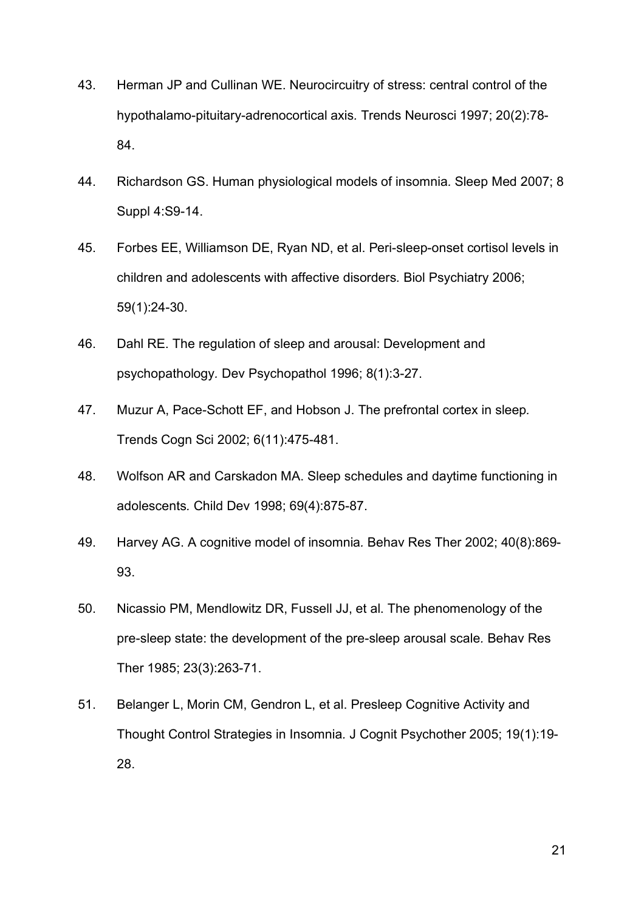- 43. Herman JP and Cullinan WE. Neurocircuitry of stress: central control of the hypothalamo-pituitary-adrenocortical axis*.* Trends Neurosci 1997; 20(2):78- 84.
- 44. Richardson GS. Human physiological models of insomnia*.* Sleep Med 2007; 8 Suppl 4:S9-14.
- 45. Forbes EE, Williamson DE, Ryan ND, et al. Peri-sleep-onset cortisol levels in children and adolescents with affective disorders*.* Biol Psychiatry 2006; 59(1):24-30.
- 46. Dahl RE. The regulation of sleep and arousal: Development and psychopathology*.* Dev Psychopathol 1996; 8(1):3-27.
- 47. Muzur A, Pace-Schott EF, and Hobson J. The prefrontal cortex in sleep*.* Trends Cogn Sci 2002; 6(11):475-481.
- 48. Wolfson AR and Carskadon MA. Sleep schedules and daytime functioning in adolescents*.* Child Dev 1998; 69(4):875-87.
- 49. Harvey AG. A cognitive model of insomnia*.* Behav Res Ther 2002; 40(8):869- 93.
- 50. Nicassio PM, Mendlowitz DR, Fussell JJ, et al. The phenomenology of the pre-sleep state: the development of the pre-sleep arousal scale*.* Behav Res Ther 1985; 23(3):263-71.
- 51. Belanger L, Morin CM, Gendron L, et al. Presleep Cognitive Activity and Thought Control Strategies in Insomnia*.* J Cognit Psychother 2005; 19(1):19- 28.